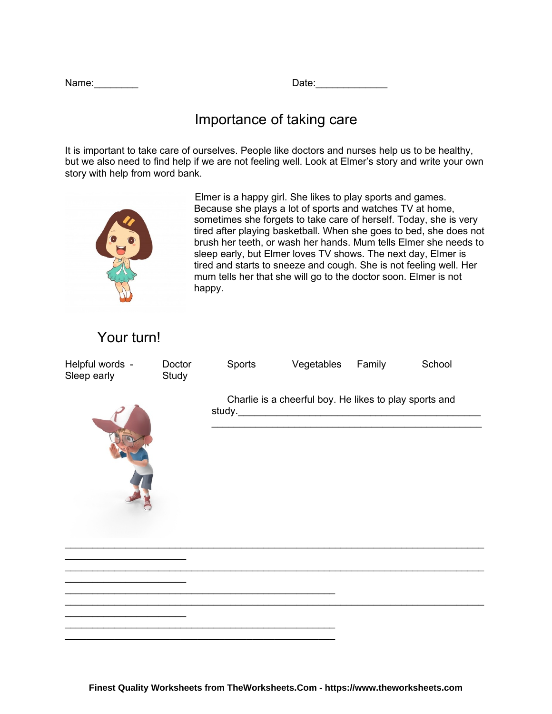| Name: |  |  |  |
|-------|--|--|--|
|       |  |  |  |

Name:\_\_\_\_\_\_\_\_ Date:\_\_\_\_\_\_\_\_\_\_\_\_\_

## Importance of taking care

It is important to take care of ourselves. People like doctors and nurses help us to be healthy, but we also need to find help if we are not feeling well. Look at Elmer's story and write your own story with help from word bank.